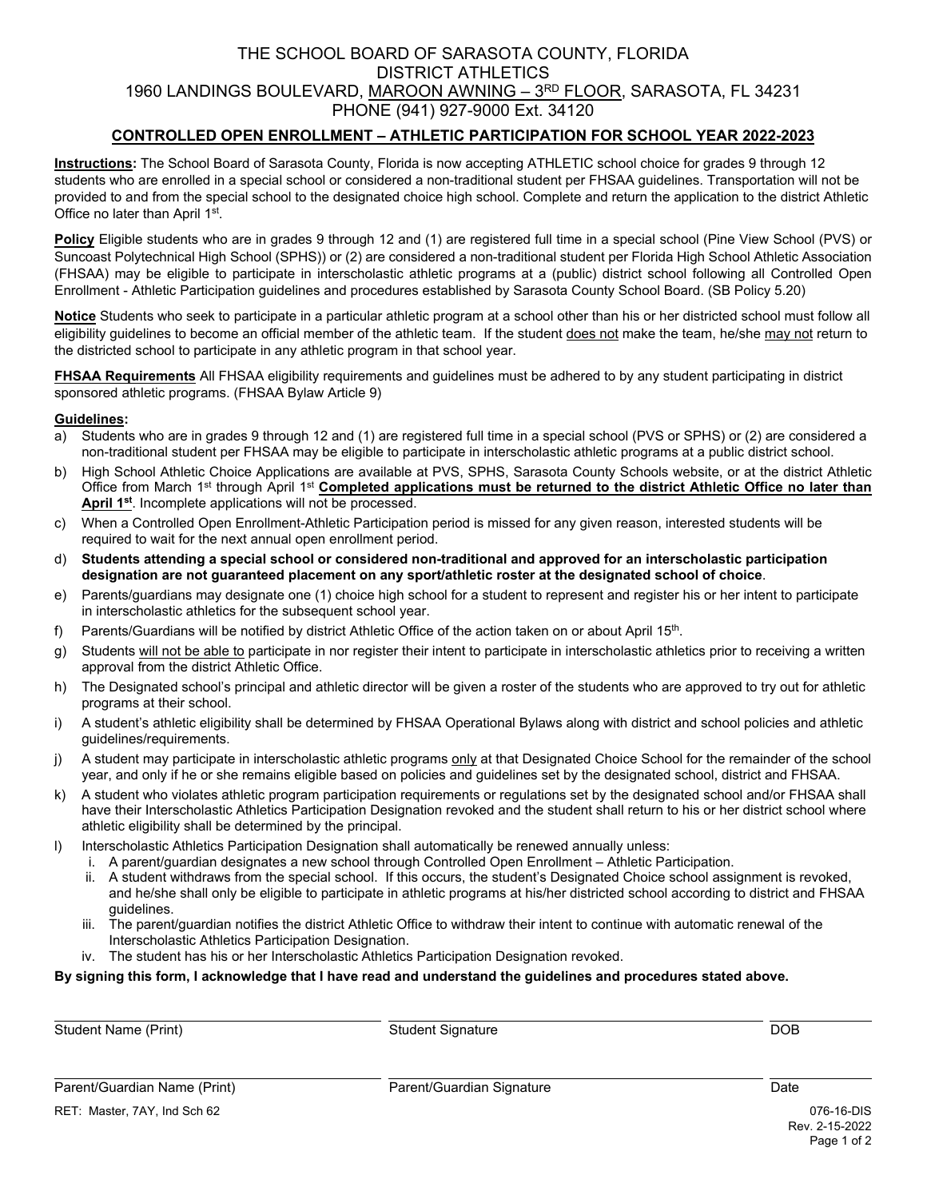# THE SCHOOL BOARD OF SARASOTA COUNTY, FLORIDA DISTRICT ATHLETICS 1960 LANDINGS BOULEVARD, MAROON AWNING - 3RD FLOOR, SARASOTA, FL 34231 PHONE (941) 927-9000 Ext. 34120

## **CONTROLLED OPEN ENROLLMENT – ATHLETIC PARTICIPATION FOR SCHOOL YEAR 2022-2023**

**Instructions:** The School Board of Sarasota County, Florida is now accepting ATHLETIC school choice for grades 9 through 12 students who are enrolled in a special school or considered a non-traditional student per FHSAA guidelines. Transportation will not be provided to and from the special school to the designated choice high school. Complete and return the application to the district Athletic Office no later than April 1<sup>st</sup>.

**Policy** Eligible students who are in grades 9 through 12 and (1) are registered full time in a special school (Pine View School (PVS) or Suncoast Polytechnical High School (SPHS)) or (2) are considered a non-traditional student per Florida High School Athletic Association (FHSAA) may be eligible to participate in interscholastic athletic programs at a (public) district school following all Controlled Open Enrollment - Athletic Participation guidelines and procedures established by Sarasota County School Board. (SB Policy 5.20)

**Notice** Students who seek to participate in a particular athletic program at a school other than his or her districted school must follow all eligibility guidelines to become an official member of the athletic team. If the student does not make the team, he/she may not return to the districted school to participate in any athletic program in that school year.

**FHSAA Requirements** All FHSAA eligibility requirements and guidelines must be adhered to by any student participating in district sponsored athletic programs. (FHSAA Bylaw Article 9)

### **Guidelines:**

- a) Students who are in grades 9 through 12 and (1) are registered full time in a special school (PVS or SPHS) or (2) are considered a non-traditional student per FHSAA may be eligible to participate in interscholastic athletic programs at a public district school.
- b) High School Athletic Choice Applications are available at PVS, SPHS, Sarasota County Schools website, or at the district Athletic Office from March 1<sup>st</sup> through April 1<sup>st</sup> Completed applications must be returned to the district Athletic Office no later than April 1<sup>st</sup>. Incomplete applications will not be processed.
- c) When a Controlled Open Enrollment-Athletic Participation period is missed for any given reason, interested students will be required to wait for the next annual open enrollment period.
- d) **Students attending a special school or considered non-traditional and approved for an interscholastic participation designation are not guaranteed placement on any sport/athletic roster at the designated school of choice**.
- e) Parents/guardians may designate one (1) choice high school for a student to represent and register his or her intent to participate in interscholastic athletics for the subsequent school year.
- f) Parents/Guardians will be notified by district Athletic Office of the action taken on or about April 15th.
- g) Students will not be able to participate in nor register their intent to participate in interscholastic athletics prior to receiving a written approval from the district Athletic Office.
- h) The Designated school's principal and athletic director will be given a roster of the students who are approved to try out for athletic programs at their school.
- i) A student's athletic eligibility shall be determined by FHSAA Operational Bylaws along with district and school policies and athletic guidelines/requirements.
- j) A student may participate in interscholastic athletic programs only at that Designated Choice School for the remainder of the school year, and only if he or she remains eligible based on policies and guidelines set by the designated school, district and FHSAA.
- k) A student who violates athletic program participation requirements or regulations set by the designated school and/or FHSAA shall have their Interscholastic Athletics Participation Designation revoked and the student shall return to his or her district school where athletic eligibility shall be determined by the principal.
- I) Interscholastic Athletics Participation Designation shall automatically be renewed annually unless:
	- i. A parent/guardian designates a new school through Controlled Open Enrollment Athletic Participation.
		- ii. A student withdraws from the special school. If this occurs, the student's Designated Choice school assignment is revoked, and he/she shall only be eligible to participate in athletic programs at his/her districted school according to district and FHSAA guidelines.
	- iii. The parent/guardian notifies the district Athletic Office to withdraw their intent to continue with automatic renewal of the Interscholastic Athletics Participation Designation.
	- iv. The student has his or her Interscholastic Athletics Participation Designation revoked.

#### **By signing this form, I acknowledge that I have read and understand the guidelines and procedures stated above.**

 $\overline{a}$ Student Name (Print)  $S$ tudent Signature  $S$  DOB